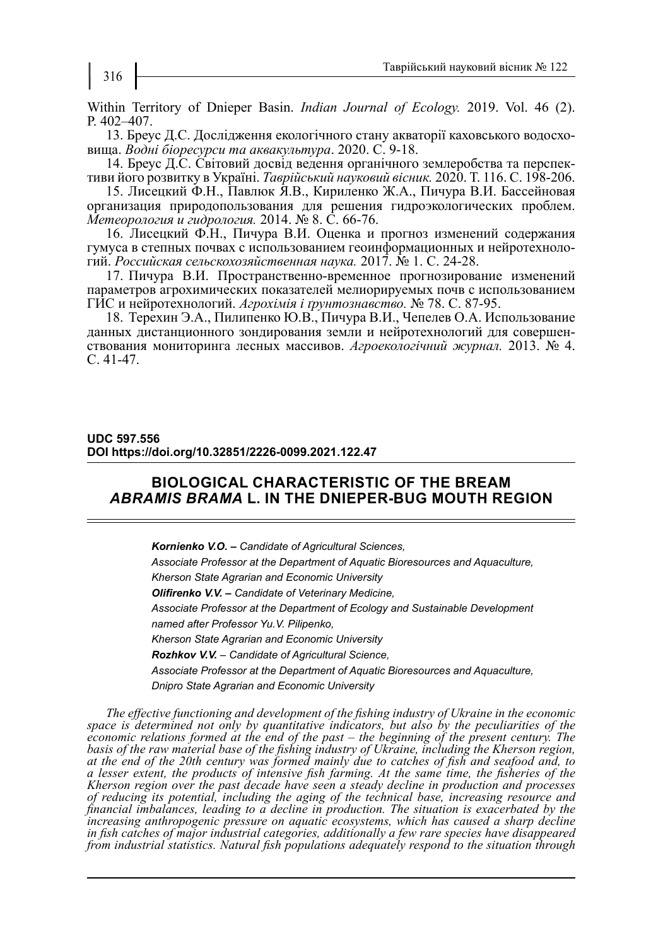Within Territory of Dnieper Basin. *Indian Journal of Ecology.* 2019. Vol. 46 (2). P. 402–407.

13. Бреус Д.C. Дослідження екологічного стану акваторії каховського водосховища. *Водні біоресурси та аквакультура*. 2020. С. 9-18.

14. Бреус Д.С. Світовий досвід ведення органічного землеробства та перспективи його розвитку в Україні. *Таврійський науковий вісник.* 2020. Т. 116. C. 198-206.

15. Лисецкий Ф.Н., Павлюк Я.В., Кириленко Ж.А., Пичура В.И. Бассейновая организация природопользования для решения гидроэкологических проблем. *Метеорология и гидрология.* 2014. № 8. С. 66-76.

16. Лисецкий Ф.Н., Пичура В.И. Оценка и прогноз изменений содержания гумуса в степных почвах с использованием геоинформационных и нейротехнологий. *Российская сельскохозяйственная наука.* 2017. № 1. C. 24-28.

17. Пичура В.И. Пространственно-временное прогнозирование изменений параметров агрохимических показателей мелиорируемых почв с использованием ГИС и нейротехнологий. *Агрохiмiя i ґрунтознавство.* № 78. С. 87-95.

18. Терехин Э.А., Пилипенко Ю.В., Пичура В.И., Чепелев О.А. Использование данных дистанционного зондирования земли и нейротехнологий для совершенствования мониторинга лесных массивов. *Агроекологічний журнал.* 2013. № 4. C. 41-47.

### **UDC 597.556 DOI https://doi.org/10.32851/2226-0099.2021.122.47**

## **BIOLOGICAL CHARACTERISTIC OF THE BREAM**  *ABRAMIS BRAMA* **L. IN THE DNIEPER-BUG MOUTH REGION**

*Kornienko V.O. – Candidate of Agricultural Sciences, Associate Professor at the Department of Aquatic Bioresources and Aquaculture, Kherson State Agrarian and Economic University Olifirenko V.V. – Candidate of Veterinary Medicine, Associate Professor at the Department of Ecology and Sustainable Development named after Professor Yu.V. Pilipenko, Kherson State Agrarian and Economic University Rozhkov V.V. – Candidate of Agricultural Science, Associate Professor at the Department of Aquatic Bioresources and Aquaculture, Dnipro State Agrarian and Economic University*

*The effective functioning and development of the fishing industry of Ukraine in the economic space is determined not only by quantitative indicators, but also by the peculiarities of the economic relations formed at the end of the past – the beginning of the present century. The basis of the raw material base of the fishing industry of Ukraine, including the Kherson region, at the end of the 20th century was formed mainly due to catches of fish and seafood and, to a lesser extent, the products of intensive fish farming. At the same time, the fisheries of the Kherson region over the past decade have seen a steady decline in production and processes of reducing its potential, including the aging of the technical base, increasing resource and financial imbalances, leading to a decline in production. The situation is exacerbated by the increasing anthropogenic pressure on aquatic ecosystems, which has caused a sharp decline in fish catches of major industrial categories, additionally a few rare species have disappeared from industrial statistics. Natural fish populations adequately respond to the situation through*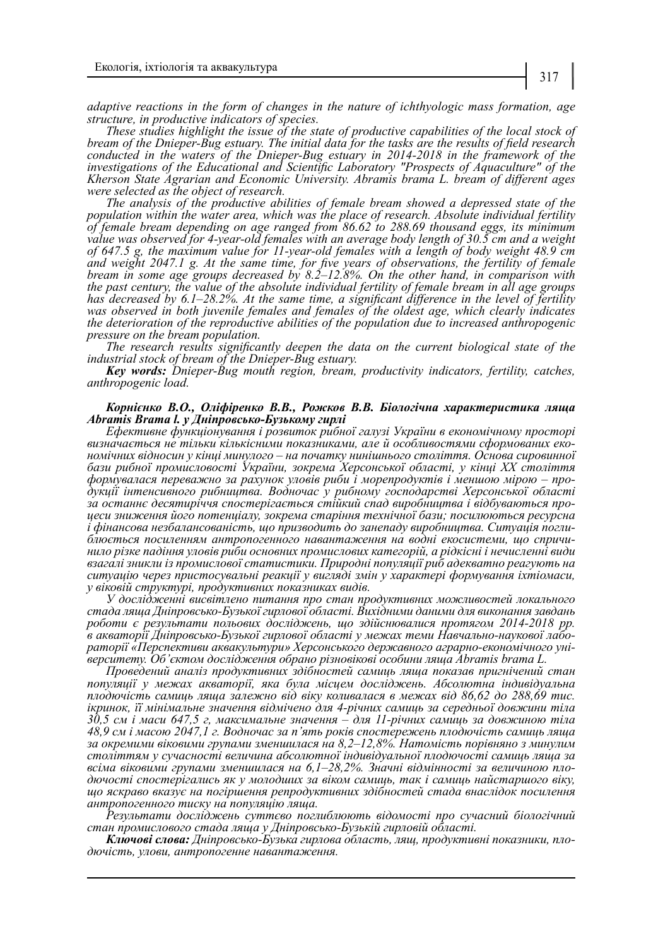*adaptive reactions in the form of changes in the nature of ichthyologic mass formation, age structure, in productive indicators of species.*

*These studies highlight the issue of the state of productive capabilities of the local stock of bream of the Dnieper-Bug estuary. The initial data for the tasks are the results of field research conducted in the waters of the Dnieper-Bug estuary in 2014-2018 in the framework of the investigations of the Educational and Scientific Laboratory "Prospects of Aquaculture" of the Kherson State Agrarian and Economic University. Abramis brama L. bream of different ages were selected as the object of research.*

*The analysis of the productive abilities of female bream showed a depressed state of the population within the water area, which was the place of research. Absolute individual fertility of female bream depending on age ranged from 86.62 to 288.69 thousand eggs, its minimum value was observed for 4-year-old females with an average body length of 30.5 cm and a weight of 647.5 g, the maximum value for 11-year-old females with a length of body weight 48.9 cm and weight 2047.1 g. At the same time, for five years of observations, the fertility of female bream in some age groups decreased by 8.2–12.8%. On the other hand, in comparison with the past century, the value of the absolute individual fertility of female bream in all age groups has decreased by 6.1–28.2%. At the same time, a significant difference in the level of fertility*  was observed in both juvenile females and females of the oldest age, which clearly indicates *the deterioration of the reproductive abilities of the population due to increased anthropogenic pressure on the bream population.*

*The research results significantly deepen the data on the current biological state of the industrial stock of bream of the Dnieper-Bug estuary.*

*Key words: Dnieper-Bug mouth region, bream, productivity indicators, fertility, catches, anthropogenic load.*

#### *Корнієнко В.О., Оліфіренко В.В., Рожков В.В. Біологічна характеристика ляща Abramis Brama l. у Дніпровсько-Бузькому гирлі*

*Ефективне функціонування і розвиток рибної галузі України в економічному просторі визначається не тільки кількісними показниками, але й особливостями сформованих еко- номічних відносин у кінці минулого – на початку нинішнього століття. Основа сировинної бази рибної промисловості України, зокрема Херсонської області, у кінці ХХ століття формувалася переважно за рахунок уловів риби і морепродуктів і меншою мірою – про- дукції інтенсивного рибництва. Водночас у рибному господарстві Херсонської області за останнє десятиріччя спостерігається стійкий спад виробництва і відбуваються про- цеси зниження його потенціалу, зокрема старіння технічної бази; посилюються ресурсна*  і фінансова незбалансованість, що призводить до занепаду виробництва. Ситуація погли-<br>блюється посиленням антропогенного навантаження на водні екосистеми, що спричи-<br>нило різке падіння уловів риби основних промислових кат *взагалі зникли із промислової статистики. Природні популяції риб адекватно реагують на ситуацію через пристосувальні реакції у вигляді змін у характері формування іхтіомаси, у віковій структурі, продуктивних показниках видів.*

*У дослідженні висвітлено питання про стан продуктивних можливостей локального стада ляща Дніпровсько-Бузької гирлової області. Вихідними даними для виконання завдань роботи є результати польових досліджень, що здійснювалися протягом 2014-2018 рр.*  в акваторії Дніпровсько-Бузької гирлової області у межах теми Навчально-наукової лабо-<br>раторії «Перспективи аквакультури» Херсонського державного аграрно-економічного уні-<br>верситету. Об'єктом дослідження обрано різновіков

*Проведений аналіз продуктивних здібностей самиць ляща показав пригнічений стан популяції у межах акваторії, яка була місцем досліджень. Абсолютна індивідуальна плодючість самиць ляща залежно від віку коливалася в межах від 86,62 до 288,69 тис. ікринок, її мінімальне значення відмічено для 4-річних самиць за середньої довжини тіла 30,5 см і маси 647,5 г, максимальне значення – для 11-річних самиць за довжиною тіла 48,9 см і масою 2047,1 г. Водночас за п'ять років спостережень плодючість самиць ляща за окремими віковими групами зменшилася на 8,2–12,8%. Натомість порівняно з минулим століттям у сучасності величина абсолютної індивідуальної плодючості самиць ляща за всіма віковими групами зменшилася на 6,1–28,2%. Значні відмінності за величиною пло- дючості спостерігались як у молодших за віком самиць, так і самиць найстаршого віку, що яскраво вказує на погіршення репродуктивних здібностей стада внаслідок посилення антропогенного тиску на популяцію ляща.*

*Результати досліджень суттєво поглиблюють відомості про сучасний біологічний стан промислового стада ляща у Дніпровсько-Бузькій гирловій області.*

*Ключові слова: Дніпровсько-Бузька гирлова область, лящ, продуктивні показники, пло- дючість, улови, антропогенне навантаження.*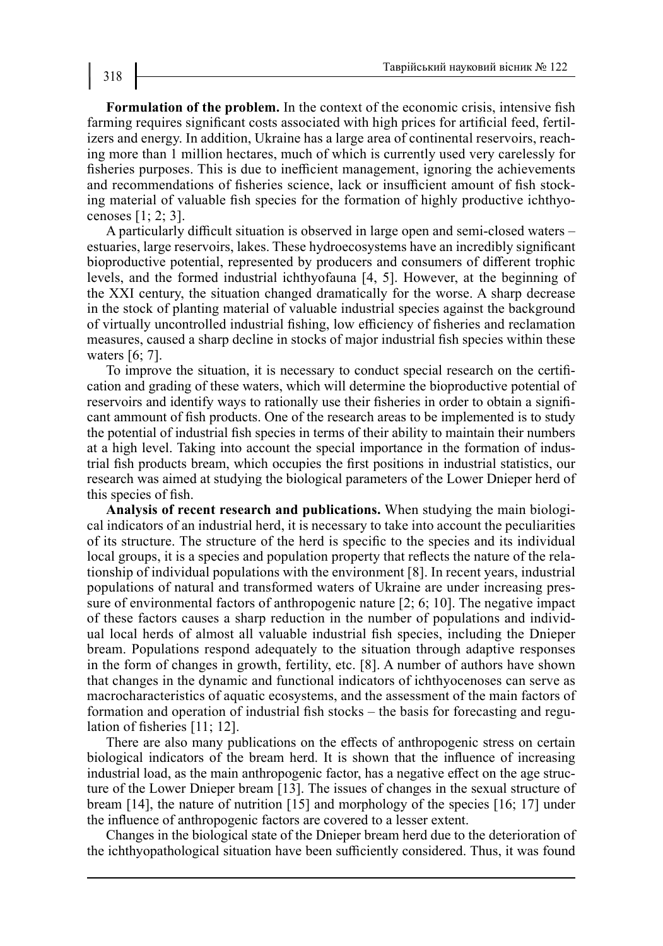**Formulation of the problem.** In the context of the economic crisis, intensive fish farming requires significant costs associated with high prices for artificial feed, fertilizers and energy. In addition, Ukraine has a large area of continental reservoirs, reaching more than 1 million hectares, much of which is currently used very carelessly for fisheries purposes. This is due to inefficient management, ignoring the achievements and recommendations of fisheries science, lack or insufficient amount of fish stocking material of valuable fish species for the formation of highly productive ichthyocenoses [1; 2; 3].

A particularly difficult situation is observed in large open and semi-closed waters – estuaries, large reservoirs, lakes. These hydroecosystems have an incredibly significant bioproductive potential, represented by producers and consumers of different trophic levels, and the formed industrial ichthyofauna [4, 5]. However, at the beginning of the XXI century, the situation changed dramatically for the worse. A sharp decrease in the stock of planting material of valuable industrial species against the background of virtually uncontrolled industrial fishing, low efficiency of fisheries and reclamation measures, caused a sharp decline in stocks of major industrial fish species within these waters [6; 7].

To improve the situation, it is necessary to conduct special research on the certification and grading of these waters, which will determine the bioproductive potential of reservoirs and identify ways to rationally use their fisheries in order to obtain a significant ammount of fish products. One of the research areas to be implemented is to study the potential of industrial fish species in terms of their ability to maintain their numbers at a high level. Taking into account the special importance in the formation of industrial fish products bream, which occupies the first positions in industrial statistics, our research was aimed at studying the biological parameters of the Lower Dnieper herd of this species of fish.

**Analysis of recent research and publications.** When studying the main biological indicators of an industrial herd, it is necessary to take into account the peculiarities of its structure. The structure of the herd is specific to the species and its individual local groups, it is a species and population property that reflects the nature of the relationship of individual populations with the environment [8]. In recent years, industrial populations of natural and transformed waters of Ukraine are under increasing pressure of environmental factors of anthropogenic nature [2; 6; 10]. The negative impact of these factors causes a sharp reduction in the number of populations and individual local herds of almost all valuable industrial fish species, including the Dnieper bream. Populations respond adequately to the situation through adaptive responses in the form of changes in growth, fertility, etc. [8]. A number of authors have shown that changes in the dynamic and functional indicators of ichthyocenoses can serve as macrocharacteristics of aquatic ecosystems, and the assessment of the main factors of formation and operation of industrial fish stocks – the basis for forecasting and regulation of fisheries [11; 12].

There are also many publications on the effects of anthropogenic stress on certain biological indicators of the bream herd. It is shown that the influence of increasing industrial load, as the main anthropogenic factor, has a negative effect on the age structure of the Lower Dnieper bream [13]. The issues of changes in the sexual structure of bream [14], the nature of nutrition [15] and morphology of the species [16; 17] under the influence of anthropogenic factors are covered to a lesser extent.

Changes in the biological state of the Dnieper bream herd due to the deterioration of the ichthyopathological situation have been sufficiently considered. Thus, it was found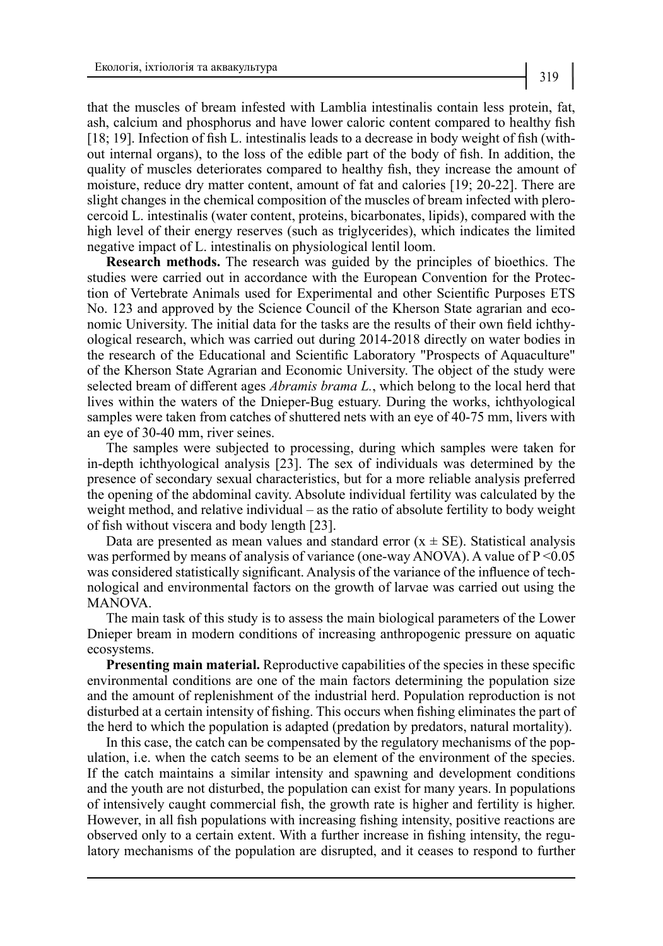that the muscles of bream infested with Lamblia intestinalis contain less protein, fat, ash, calcium and phosphorus and have lower caloric content compared to healthy fish [18; 19]. Infection of fish L. intestinalis leads to a decrease in body weight of fish (without internal organs), to the loss of the edible part of the body of fish. In addition, the quality of muscles deteriorates compared to healthy fish, they increase the amount of moisture, reduce dry matter content, amount of fat and calories [19; 20-22]. There are slight changes in the chemical composition of the muscles of bream infected with plerocercoid L. intestinalis (water content, proteins, bicarbonates, lipids), compared with the high level of their energy reserves (such as triglycerides), which indicates the limited negative impact of L. intestinalis on physiological lentil loom.

**Research methods.** The research was guided by the principles of bioethics. The studies were carried out in accordance with the European Convention for the Protection of Vertebrate Animals used for Experimental and other Scientific Purposes ETS No. 123 and approved by the Science Council of the Kherson State agrarian and economic University. The initial data for the tasks are the results of their own field ichthyological research, which was carried out during 2014-2018 directly on water bodies in the research of the Educational and Scientific Laboratory "Prospects of Aquaculture" of the Kherson State Agrarian and Economic University. The object of the study were selected bream of different ages *Abramis brama L.*, which belong to the local herd that lives within the waters of the Dnieper-Bug estuary. During the works, ichthyological samples were taken from catches of shuttered nets with an eye of 40-75 mm, livers with an eye of 30-40 mm, river seines.

The samples were subjected to processing, during which samples were taken for in-depth ichthyological analysis [23]. The sex of individuals was determined by the presence of secondary sexual characteristics, but for a more reliable analysis preferred the opening of the abdominal cavity. Absolute individual fertility was calculated by the weight method, and relative individual – as the ratio of absolute fertility to body weight of fish without viscera and body length [23].

Data are presented as mean values and standard error  $(x \pm SE)$ . Statistical analysis was performed by means of analysis of variance (one-way ANOVA). A value of P < 0.05 was considered statistically significant. Analysis of the variance of the influence of technological and environmental factors on the growth of larvae was carried out using the MANOVA.

The main task of this study is to assess the main biological parameters of the Lower Dnieper bream in modern conditions of increasing anthropogenic pressure on aquatic ecosystems.

**Presenting main material.** Reproductive capabilities of the species in these specific environmental conditions are one of the main factors determining the population size and the amount of replenishment of the industrial herd. Population reproduction is not disturbed at a certain intensity of fishing. This occurs when fishing eliminates the part of the herd to which the population is adapted (predation by predators, natural mortality).

In this case, the catch can be compensated by the regulatory mechanisms of the population, i.e. when the catch seems to be an element of the environment of the species. If the catch maintains a similar intensity and spawning and development conditions and the youth are not disturbed, the population can exist for many years. In populations of intensively caught commercial fish, the growth rate is higher and fertility is higher. However, in all fish populations with increasing fishing intensity, positive reactions are observed only to a certain extent. With a further increase in fishing intensity, the regulatory mechanisms of the population are disrupted, and it ceases to respond to further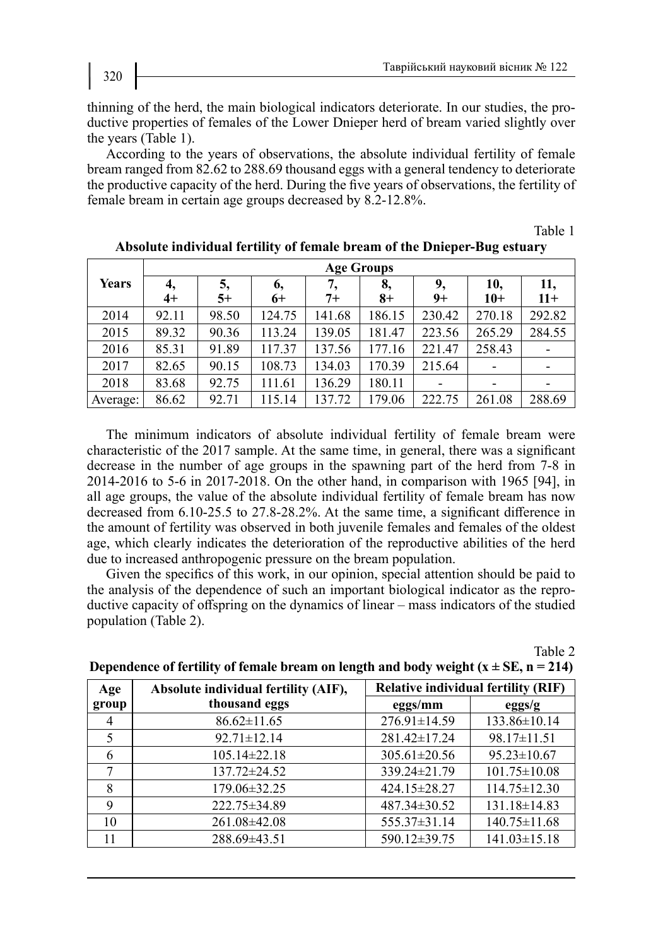thinning of the herd, the main biological indicators deteriorate. In our studies, the productive properties of females of the Lower Dnieper herd of bream varied slightly over the years (Table 1).

According to the years of observations, the absolute individual fertility of female bream ranged from 82.62 to 288.69 thousand eggs with a general tendency to deteriorate the productive capacity of the herd. During the five years of observations, the fertility of female bream in certain age groups decreased by 8.2-12.8%.

Table 1

|          | <b>Age Groups</b> |            |            |            |            |            |                          |              |  |
|----------|-------------------|------------|------------|------------|------------|------------|--------------------------|--------------|--|
| Years    | 4,<br>$4+$        | 5,<br>$5+$ | 6,<br>$6+$ | 7,<br>$7+$ | 8,<br>$8+$ | 9,<br>$9+$ | 10,<br>$10+$             | 11,<br>$11+$ |  |
| 2014     | 92.11             | 98.50      | 124.75     | 141.68     | 186.15     | 230.42     | 270.18                   | 292.82       |  |
| 2015     | 89.32             | 90.36      | 113.24     | 139.05     | 181.47     | 223.56     | 265.29                   | 284.55       |  |
| 2016     | 85.31             | 91.89      | 117.37     | 137.56     | 177.16     | 221.47     | 258.43                   |              |  |
| 2017     | 82.65             | 90.15      | 108.73     | 134.03     | 170.39     | 215.64     | $\overline{\phantom{a}}$ |              |  |
| 2018     | 83.68             | 92.75      | 111.61     | 136.29     | 180.11     |            | -                        |              |  |
| Average: | 86.62             | 92.71      | 115.14     | 137.72     | 179.06     | 222.75     | 261.08                   | 288.69       |  |

| Absolute individual fertility of female bream of the Dnieper-Bug estuary |  |
|--------------------------------------------------------------------------|--|
|--------------------------------------------------------------------------|--|

The minimum indicators of absolute individual fertility of female bream were characteristic of the 2017 sample. At the same time, in general, there was a significant decrease in the number of age groups in the spawning part of the herd from 7-8 in 2014-2016 to 5-6 in 2017-2018. On the other hand, in comparison with 1965 [94], in all age groups, the value of the absolute individual fertility of female bream has now decreased from 6.10-25.5 to 27.8-28.2%. At the same time, a significant difference in the amount of fertility was observed in both juvenile females and females of the oldest age, which clearly indicates the deterioration of the reproductive abilities of the herd due to increased anthropogenic pressure on the bream population.

Given the specifics of this work, in our opinion, special attention should be paid to the analysis of the dependence of such an important biological indicator as the reproductive capacity of offspring on the dynamics of linear – mass indicators of the studied population (Table 2).

Table 2

| Age   | Absolute individual fertility (AIF), | <b>Relative individual fertility (RIF)</b> |                    |  |
|-------|--------------------------------------|--------------------------------------------|--------------------|--|
| group | thousand eggs                        | eggs/mm                                    | eggs/g             |  |
| 4     | $86.62 \pm 11.65$                    | $276.91 \pm 14.59$                         | 133.86±10.14       |  |
| 5     | $92.71 \pm 12.14$                    | 281.42±17.24                               | 98.17±11.51        |  |
| 6     | 105.14±22.18                         | $305.61 \pm 20.56$                         | $95.23 \pm 10.67$  |  |
| 7     | 137.72±24.52                         | 339.24±21.79                               | $101.75 \pm 10.08$ |  |
| 8     | 179.06±32.25                         | 424.15±28.27                               | $114.75 \pm 12.30$ |  |
| 9     | 222.75±34.89                         | 487.34±30.52                               | $131.18 \pm 14.83$ |  |
| 10    | 261.08±42.08                         | 555.37±31.14                               | $140.75 \pm 11.68$ |  |
| 11    | 288.69±43.51                         | 590.12±39.75                               | $141.03 \pm 15.18$ |  |

**Dependence of fertility of female bream on length and body weight**  $(x \pm SE, n = 214)$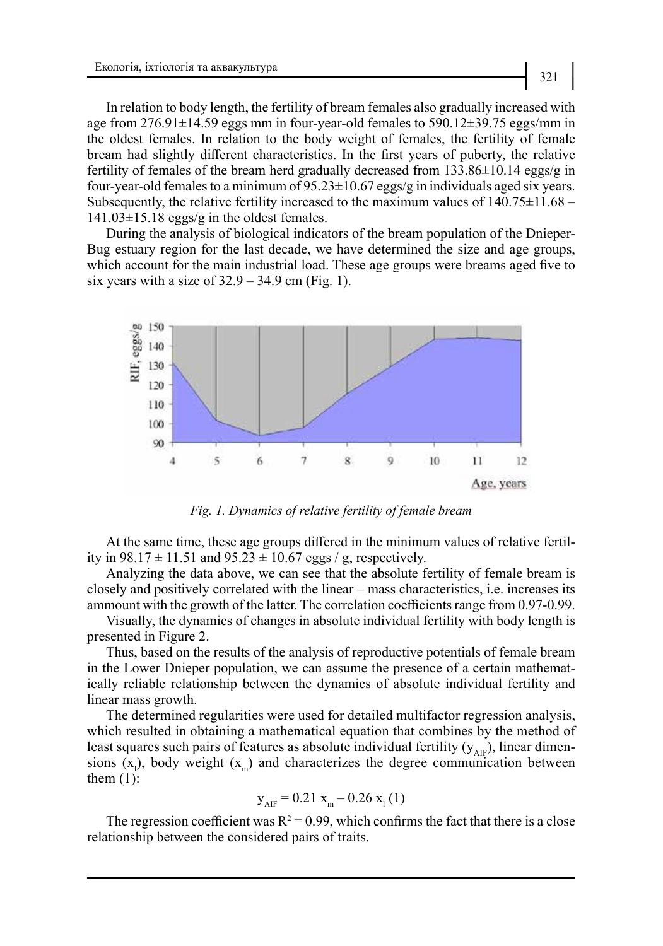In relation to body length, the fertility of bream females also gradually increased with age from 276.91±14.59 eggs mm in four-year-old females to 590.12±39.75 eggs/mm in the oldest females. In relation to the body weight of females, the fertility of female bream had slightly different characteristics. In the first years of puberty, the relative fertility of females of the bream herd gradually decreased from 133.86±10.14 eggs/g in four-year-old females to a minimum of  $95.23 \pm 10.67$  eggs/g in individuals aged six years. Subsequently, the relative fertility increased to the maximum values of  $140.75\pm11.68$  – 141.03±15.18 eggs/g in the oldest females.

During the analysis of biological indicators of the bream population of the Dnieper-Bug estuary region for the last decade, we have determined the size and age groups, which account for the main industrial load. These age groups were breams aged five to six years with a size of  $32.9 - 34.9$  cm (Fig. 1).



*Fig. 1. Dynamics of relative fertility of female bream*

At the same time, these age groups differed in the minimum values of relative fertility in  $98.17 \pm 11.51$  and  $95.23 \pm 10.67$  eggs / g, respectively.

Analyzing the data above, we can see that the absolute fertility of female bream is closely and positively correlated with the linear – mass characteristics, i.e. increases its ammount with the growth of the latter. The correlation coefficients range from 0.97-0.99.

Visually, the dynamics of changes in absolute individual fertility with body length is presented in Figure 2.

Thus, based on the results of the analysis of reproductive potentials of female bream in the Lower Dnieper population, we can assume the presence of a certain mathematically reliable relationship between the dynamics of absolute individual fertility and linear mass growth.

The determined regularities were used for detailed multifactor regression analysis, which resulted in obtaining a mathematical equation that combines by the method of least squares such pairs of features as absolute individual fertility  $(y_{\text{AIF}})$ , linear dimensions  $(x_1)$ , body weight  $(x_m)$  and characterizes the degree communication between them  $(1)$ :

$$
y_{\text{AIF}} = 0.21 x_{\text{m}} - 0.26 x_{1}(1)
$$

The regression coefficient was  $R^2 = 0.99$ , which confirms the fact that there is a close relationship between the considered pairs of traits.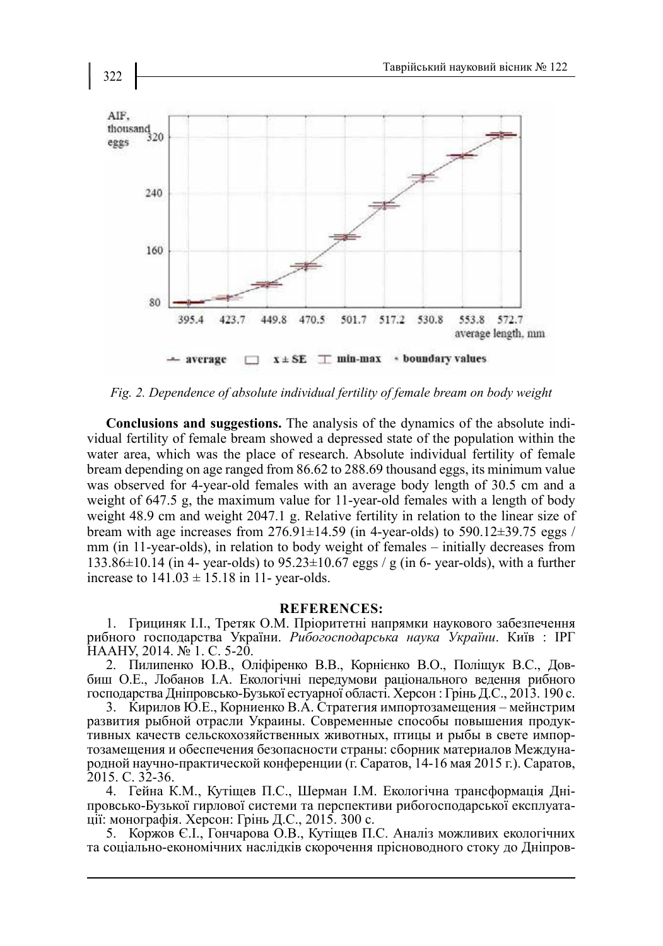

*Fig. 2. Dependence of absolute individual fertility of female bream on body weight*

**Conclusions and suggestions.** The analysis of the dynamics of the absolute individual fertility of female bream showed a depressed state of the population within the water area, which was the place of research. Absolute individual fertility of female bream depending on age ranged from 86.62 to 288.69 thousand eggs, its minimum value was observed for 4-year-old females with an average body length of 30.5 cm and a weight of 647.5 g, the maximum value for 11-year-old females with a length of body weight 48.9 cm and weight 2047.1 g. Relative fertility in relation to the linear size of bream with age increases from  $276.91 \pm 14.59$  (in 4-year-olds) to 590.12 $\pm$ 39.75 eggs / mm (in 11-year-olds), in relation to body weight of females – initially decreases from 133.86 $\pm$ 10.14 (in 4- year-olds) to 95.23 $\pm$ 10.67 eggs / g (in 6- year-olds), with a further increase to  $141.03 \pm 15.18$  in 11- year-olds.

## **REFERENCES:**

1. Грициняк І.І., Третяк О.М. Пріоритетні напрямки наукового забезпечення рибного господарства України. *Рибогосподарська наука України*. Київ : ІРГ НААНУ, 2014. № 1. С. 5-20.

2. Пилипенко Ю.В., Оліфіренко В.В., Корнієнко В.О., Поліщук В.С., Довбиш О.Е., Лобанов І.А. Екологічні передумови раціонального ведення рибного господарства Дніпровсько-Бузької естуарної області. Херсон : Грінь Д.С., 2013. 190 с.

3. Кирилов Ю.Е., Корниенко В.А. Стратегия импортозамещения – мейнстрим развития рыбной отрасли Украины. Современные способы повышения продуктивных качеств сельскохозяйственных животных, птицы и рыбы в свете импортозамещения и обеспечения безопасности страны: сборник материалов Международной научно-практической конференции (г. Саратов, 14-16 мая 2015 г.). Саратов, 2015. С. 32-36.

4. Гейна К.М., Кутіщев П.С., Шерман І.М. Екологічна трансформація Дніпровсько-Бузької гирлової системи та перспективи рибогосподарської експлуатації: монографія. Херсон: Грінь Д.С., 2015. 300 с.

5. Коржов Є.І., Гончарова О.В., Кутіщев П.С. Аналіз можливих екологічних та соціально-економічних наслідків скорочення прісноводного стоку до Дніпров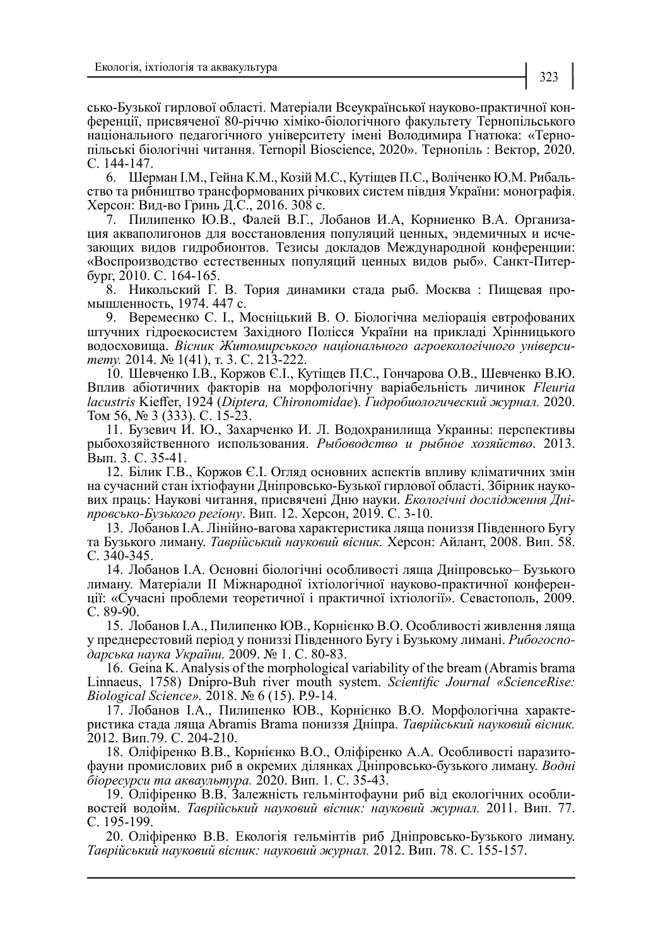сько-Бузької гирлової області. Матеріали Всеукраїнської науково-практичної конференції, присвяченої 80-річчю хіміко-біологічного факультету Тернопільського національного педагогічного університету імені Володимира Гнатюка: «Тернопільські біологічні читання. Ternopil Bioscience, 2020». Тернопіль : Вектор, 2020. С. 144-147.

6. Шерман І.М., Гейна К.М., Козій М.С., Кутіщев П.С., Воліченко Ю.М. Рибальство та рибництво трансформованих річкових систем півдня України: монографія. Херсон: Вид-во Гринь Д.С., 2016. 308 с.

7. Пилипенко Ю.В., Фалей В.Г., Лобанов И.А, Корниенко В.А. Организация акваполигонов для восстановления популяций ценных, эндемичных и исчезающих видов гидробионтов. Тезисы докладов Международной конференции: «Воспроизводство естественных популяций ценных видов рыб». Санкт-Питербург, 2010. С. 164-165.

8. Никольский Г. В. Тория динамики стада рыб. Москва : Пищевая промышленность, 1974. 447 с.

9. Веремеєнко С. І., Мосніцький В. О. Біологічна меліорація евтрофованих штучних гідроекосистем Західного Полісся України на прикладі Хрінницького водосховища. *Вісник Житомирського національного агроекологічного університету.* 2014. № 1(41), т. 3. С. 213-222.

10. Шевченко І.В., Коржов Є.І., Кутіщев П.С., Гончарова О.В., Шевченко В.Ю. Вплив абіотичних факторів на морфологічну варіабельність личинок *Fleuria lacustris* Kieffer, 1924 (*Diptera, Chironomidae*). *Гидробиологический журнал.* 2020. Том 56, № 3 (333). С. 15-23.

11. Бузевич И. Ю., Захарченко И. Л. Водохранилища Украины: перспективы рыбохозяйственного использования. *Рыбоводство и рыбное хозяйство*. 2013. Вып. 3. С. 35-41.

12. Білик Г.В., Коржов Є.І. Огляд основних аспектів впливу кліматичних змін на сучасний стан іхтіофауни Дніпровсько-Бузької гирлової області. Збірник наукових праць: Наукові читання, присвячені Дню науки. *Екологічні дослідження Дні- провсько-Бузького регіону*. Вип. 12. Херсон, 2019. С. 3-10.

13. Лобанов І.А. Лінійно-вагова характеристика ляща пониззя Південного Бугу та Бузького лиману. *Таврійський науковий вісник.* Херсон: Айлант, 2008. Вип. 58. С. 340-345.

14. Лобанов І.А. Основні біологічні особливості ляща Дніпровсько– Бузького ції: «Сучасні проблеми теоретичної і практичної іхтіології». Севастополь, 2009. С. 89-90.

15. Лобанов І.А., Пилипенко ЮВ., Корнієнко В.О. Особливості живлення ляща у преднерестовий період у пониззі Південного Бугу і Бузькому лимані. *Рибогоспо- дарська наука України.* 2009. № 1. С. 80-83.

16. Geina K. Analysis of the morphological variability of the bream (Abramis brama Linnaeus, 1758) Dnipro-Buh river mouth system. *Scientific Journal «ScienceRise: Biological Science».* 2018. № 6 (15). Р.9-14.

17. Лобанов І.А., Пилипенко ЮВ., Корнієнко В.О. Морфологічна характеристика стада ляща Abramis Brama пониззя Дніпра. *Таврійський науковий вісник.* 2012. Вип.79. С. 204-210.

18. Оліфіренко В.В., Корнієнко В.О., Оліфіренко А.А. Особливості паразитофауни промислових риб в окремих ділянках Дніпровсько-бузького лиману. *Водні біоресурси та акваультура.* 2020. Вип. 1. С. 35-43.

19. Оліфіренко В.В. Залежність гельмінтофауни риб від екологічних особливостей водойм. *Таврійський науковий вісник: науковий журнал.* 2011. Вип. 77. С. 195-199.

20. Оліфіренко В.В. Екологія гельмінтів риб Дніпровсько-Бузького лиману. *Таврійський науковий вісник: науковий журнал.* 2012. Вип. 78. С. 155-157.